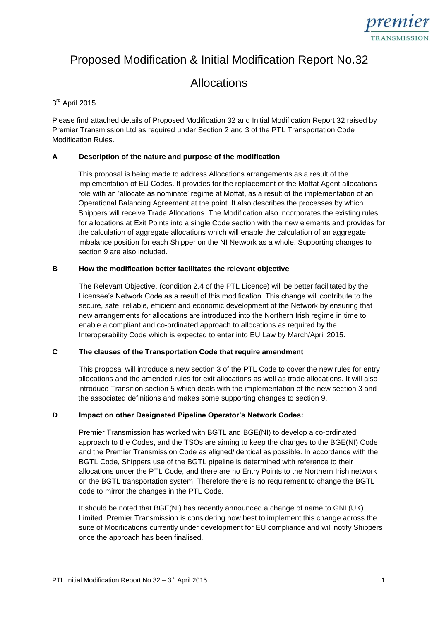

# Proposed Modification & Initial Modification Report No.32

# Allocations

# 3<sup>rd</sup> April 2015

Please find attached details of Proposed Modification 32 and Initial Modification Report 32 raised by Premier Transmission Ltd as required under Section 2 and 3 of the PTL Transportation Code Modification Rules.

## **A Description of the nature and purpose of the modification**

This proposal is being made to address Allocations arrangements as a result of the implementation of EU Codes. It provides for the replacement of the Moffat Agent allocations role with an 'allocate as nominate' regime at Moffat, as a result of the implementation of an Operational Balancing Agreement at the point. It also describes the processes by which Shippers will receive Trade Allocations. The Modification also incorporates the existing rules for allocations at Exit Points into a single Code section with the new elements and provides for the calculation of aggregate allocations which will enable the calculation of an aggregate imbalance position for each Shipper on the NI Network as a whole. Supporting changes to section 9 are also included.

## **B How the modification better facilitates the relevant objective**

The Relevant Objective, (condition 2.4 of the PTL Licence) will be better facilitated by the Licensee's Network Code as a result of this modification. This change will contribute to the secure, safe, reliable, efficient and economic development of the Network by ensuring that new arrangements for allocations are introduced into the Northern Irish regime in time to enable a compliant and co-ordinated approach to allocations as required by the Interoperability Code which is expected to enter into EU Law by March/April 2015.

## **C The clauses of the Transportation Code that require amendment**

This proposal will introduce a new section 3 of the PTL Code to cover the new rules for entry allocations and the amended rules for exit allocations as well as trade allocations. It will also introduce Transition section 5 which deals with the implementation of the new section 3 and the associated definitions and makes some supporting changes to section 9.

# **D Impact on other Designated Pipeline Operator's Network Codes:**

Premier Transmission has worked with BGTL and BGE(NI) to develop a co-ordinated approach to the Codes, and the TSOs are aiming to keep the changes to the BGE(NI) Code and the Premier Transmission Code as aligned/identical as possible. In accordance with the BGTL Code, Shippers use of the BGTL pipeline is determined with reference to their allocations under the PTL Code, and there are no Entry Points to the Northern Irish network on the BGTL transportation system. Therefore there is no requirement to change the BGTL code to mirror the changes in the PTL Code.

It should be noted that BGE(NI) has recently announced a change of name to GNI (UK) Limited. Premier Transmission is considering how best to implement this change across the suite of Modifications currently under development for EU compliance and will notify Shippers once the approach has been finalised.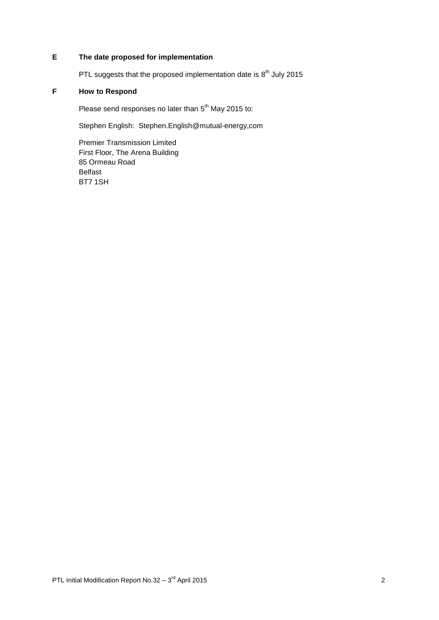# **E The date proposed for implementation**

PTL suggests that the proposed implementation date is  $8<sup>th</sup>$  July 2015

# **F How to Respond**

Please send responses no later than 5<sup>th</sup> May 2015 to:

Stephen English: Stephen.English@mutual-energy,com

Premier Transmission Limited First Floor, The Arena Building 85 Ormeau Road Belfast BT7 1SH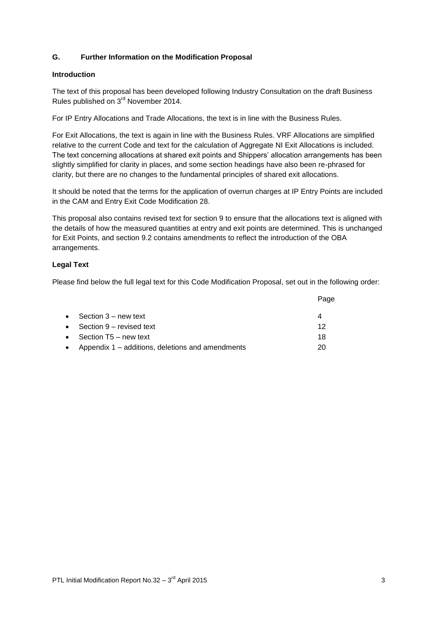# **G. Further Information on the Modification Proposal**

## **Introduction**

The text of this proposal has been developed following Industry Consultation on the draft Business Rules published on 3rd November 2014.

For IP Entry Allocations and Trade Allocations, the text is in line with the Business Rules.

For Exit Allocations, the text is again in line with the Business Rules. VRF Allocations are simplified relative to the current Code and text for the calculation of Aggregate NI Exit Allocations is included. The text concerning allocations at shared exit points and Shippers' allocation arrangements has been slightly simplified for clarity in places, and some section headings have also been re-phrased for clarity, but there are no changes to the fundamental principles of shared exit allocations.

It should be noted that the terms for the application of overrun charges at IP Entry Points are included in the CAM and Entry Exit Code Modification 28.

This proposal also contains revised text for section 9 to ensure that the allocations text is aligned with the details of how the measured quantities at entry and exit points are determined. This is unchanged for Exit Points, and section 9.2 contains amendments to reflect the introduction of the OBA arrangements.

## **Legal Text**

Please find below the full legal text for this Code Modification Proposal, set out in the following order:

| • Section $3$ – new text                             | 4  |
|------------------------------------------------------|----|
| • Section $9$ – revised text                         | 12 |
| • Section $T5$ – new text                            | 18 |
| • Appendix $1$ – additions, deletions and amendments | 20 |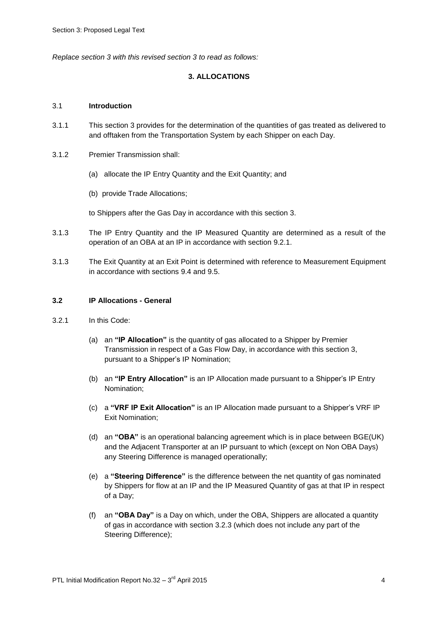*Replace section 3 with this revised section 3 to read as follows:*

## **3. ALLOCATIONS**

#### 3.1 **Introduction**

- 3.1.1 This section 3 provides for the determination of the quantities of gas treated as delivered to and offtaken from the Transportation System by each Shipper on each Day.
- 3.1.2 Premier Transmission shall:
	- (a) allocate the IP Entry Quantity and the Exit Quantity; and
	- (b) provide Trade Allocations;

to Shippers after the Gas Day in accordance with this section 3.

- 3.1.3 The IP Entry Quantity and the IP Measured Quantity are determined as a result of the operation of an OBA at an IP in accordance with section 9.2.1.
- 3.1.3 The Exit Quantity at an Exit Point is determined with reference to Measurement Equipment in accordance with sections 9.4 and 9.5.

## **3.2 IP Allocations - General**

- 3.2.1 In this Code:
	- (a) an **"IP Allocation"** is the quantity of gas allocated to a Shipper by Premier Transmission in respect of a Gas Flow Day, in accordance with this section 3, pursuant to a Shipper's IP Nomination;
	- (b) an **"IP Entry Allocation"** is an IP Allocation made pursuant to a Shipper's IP Entry Nomination;
	- (c) a **"VRF IP Exit Allocation"** is an IP Allocation made pursuant to a Shipper's VRF IP Exit Nomination;
	- (d) an **"OBA"** is an operational balancing agreement which is in place between BGE(UK) and the Adjacent Transporter at an IP pursuant to which (except on Non OBA Days) any Steering Difference is managed operationally;
	- (e) a **"Steering Difference"** is the difference between the net quantity of gas nominated by Shippers for flow at an IP and the IP Measured Quantity of gas at that IP in respect of a Day;
	- (f) an **"OBA Day"** is a Day on which, under the OBA, Shippers are allocated a quantity of gas in accordance with section 3.2.3 (which does not include any part of the Steering Difference);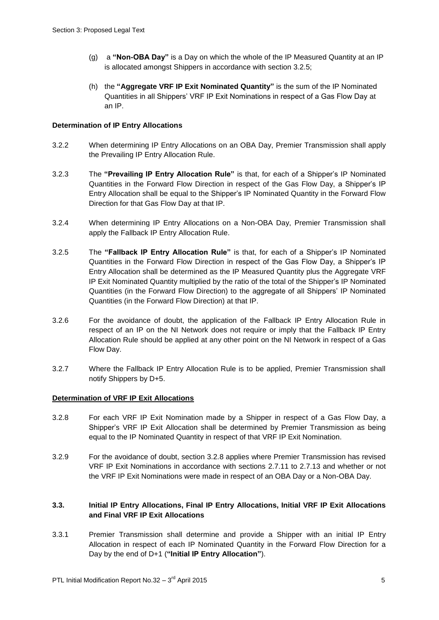- (g) a **"Non-OBA Day"** is a Day on which the whole of the IP Measured Quantity at an IP is allocated amongst Shippers in accordance with section 3.2.5;
- (h) the **"Aggregate VRF IP Exit Nominated Quantity"** is the sum of the IP Nominated Quantities in all Shippers' VRF IP Exit Nominations in respect of a Gas Flow Day at an IP.

## **Determination of IP Entry Allocations**

- 3.2.2 When determining IP Entry Allocations on an OBA Day, Premier Transmission shall apply the Prevailing IP Entry Allocation Rule.
- 3.2.3 The **"Prevailing IP Entry Allocation Rule"** is that, for each of a Shipper's IP Nominated Quantities in the Forward Flow Direction in respect of the Gas Flow Day, a Shipper's IP Entry Allocation shall be equal to the Shipper's IP Nominated Quantity in the Forward Flow Direction for that Gas Flow Day at that IP.
- 3.2.4 When determining IP Entry Allocations on a Non-OBA Day, Premier Transmission shall apply the Fallback IP Entry Allocation Rule.
- 3.2.5 The **"Fallback IP Entry Allocation Rule"** is that, for each of a Shipper's IP Nominated Quantities in the Forward Flow Direction in respect of the Gas Flow Day, a Shipper's IP Entry Allocation shall be determined as the IP Measured Quantity plus the Aggregate VRF IP Exit Nominated Quantity multiplied by the ratio of the total of the Shipper's IP Nominated Quantities (in the Forward Flow Direction) to the aggregate of all Shippers' IP Nominated Quantities (in the Forward Flow Direction) at that IP.
- 3.2.6 For the avoidance of doubt, the application of the Fallback IP Entry Allocation Rule in respect of an IP on the NI Network does not require or imply that the Fallback IP Entry Allocation Rule should be applied at any other point on the NI Network in respect of a Gas Flow Day.
- 3.2.7 Where the Fallback IP Entry Allocation Rule is to be applied, Premier Transmission shall notify Shippers by D+5.

#### **Determination of VRF IP Exit Allocations**

- 3.2.8 For each VRF IP Exit Nomination made by a Shipper in respect of a Gas Flow Day, a Shipper's VRF IP Exit Allocation shall be determined by Premier Transmission as being equal to the IP Nominated Quantity in respect of that VRF IP Exit Nomination.
- 3.2.9 For the avoidance of doubt, section 3.2.8 applies where Premier Transmission has revised VRF IP Exit Nominations in accordance with sections 2.7.11 to 2.7.13 and whether or not the VRF IP Exit Nominations were made in respect of an OBA Day or a Non-OBA Day.

## **3.3. Initial IP Entry Allocations, Final IP Entry Allocations, Initial VRF IP Exit Allocations and Final VRF IP Exit Allocations**

3.3.1 Premier Transmission shall determine and provide a Shipper with an initial IP Entry Allocation in respect of each IP Nominated Quantity in the Forward Flow Direction for a Day by the end of D+1 (**"Initial IP Entry Allocation"**).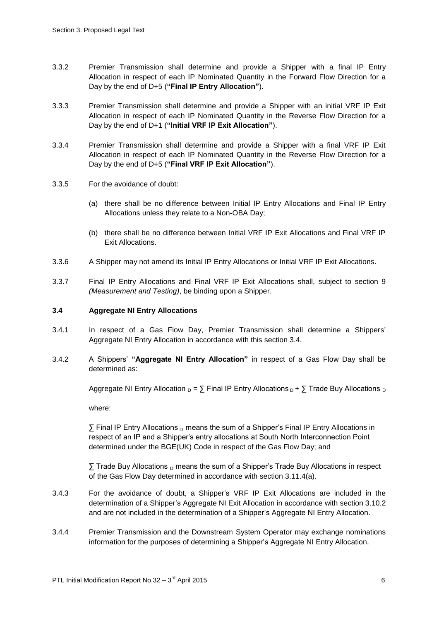- 3.3.2 Premier Transmission shall determine and provide a Shipper with a final IP Entry Allocation in respect of each IP Nominated Quantity in the Forward Flow Direction for a Day by the end of D+5 (**"Final IP Entry Allocation"**).
- 3.3.3 Premier Transmission shall determine and provide a Shipper with an initial VRF IP Exit Allocation in respect of each IP Nominated Quantity in the Reverse Flow Direction for a Day by the end of D+1 (**"Initial VRF IP Exit Allocation"**).
- 3.3.4 Premier Transmission shall determine and provide a Shipper with a final VRF IP Exit Allocation in respect of each IP Nominated Quantity in the Reverse Flow Direction for a Day by the end of D+5 (**"Final VRF IP Exit Allocation"**).
- 3.3.5 For the avoidance of doubt:
	- (a) there shall be no difference between Initial IP Entry Allocations and Final IP Entry Allocations unless they relate to a Non-OBA Day;
	- (b) there shall be no difference between Initial VRF IP Exit Allocations and Final VRF IP Exit Allocations.
- 3.3.6 A Shipper may not amend its Initial IP Entry Allocations or Initial VRF IP Exit Allocations.
- 3.3.7 Final IP Entry Allocations and Final VRF IP Exit Allocations shall, subject to section 9 *(Measurement and Testing)*, be binding upon a Shipper.

#### **3.4 Aggregate NI Entry Allocations**

- 3.4.1 In respect of a Gas Flow Day, Premier Transmission shall determine a Shippers' Aggregate NI Entry Allocation in accordance with this section 3.4.
- 3.4.2 A Shippers' **"Aggregate NI Entry Allocation"** in respect of a Gas Flow Day shall be determined as:

Aggregate NI Entry Allocation  $_D = \sum$  Final IP Entry Allocations  $_D + \sum$  Trade Buy Allocations  $_D$ 

where:

 $\Sigma$  Final IP Entry Allocations  $_D$  means the sum of a Shipper's Final IP Entry Allocations in respect of an IP and a Shipper's entry allocations at South North Interconnection Point determined under the BGE(UK) Code in respect of the Gas Flow Day; and

 $\sum$  Trade Buy Allocations  $_D$  means the sum of a Shipper's Trade Buy Allocations in respect of the Gas Flow Day determined in accordance with section 3.11.4(a).

- 3.4.3 For the avoidance of doubt, a Shipper's VRF IP Exit Allocations are included in the determination of a Shipper's Aggregate NI Exit Allocation in accordance with section 3.10.2 and are not included in the determination of a Shipper's Aggregate NI Entry Allocation.
- 3.4.4 Premier Transmission and the Downstream System Operator may exchange nominations information for the purposes of determining a Shipper's Aggregate NI Entry Allocation.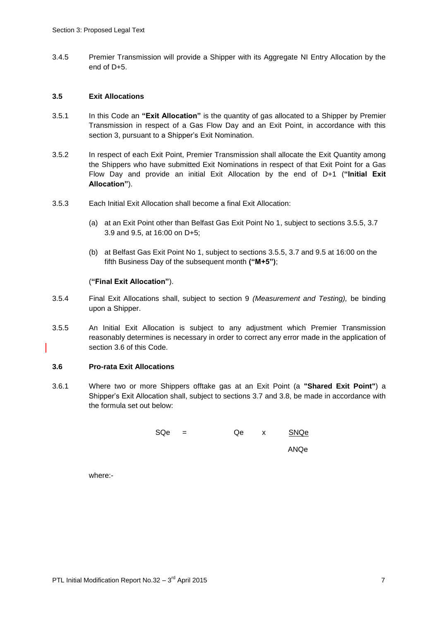3.4.5 Premier Transmission will provide a Shipper with its Aggregate NI Entry Allocation by the end of D+5.

## **3.5 Exit Allocations**

- 3.5.1 In this Code an **"Exit Allocation"** is the quantity of gas allocated to a Shipper by Premier Transmission in respect of a Gas Flow Day and an Exit Point, in accordance with this section 3, pursuant to a Shipper's Exit Nomination.
- 3.5.2 In respect of each Exit Point, Premier Transmission shall allocate the Exit Quantity among the Shippers who have submitted Exit Nominations in respect of that Exit Point for a Gas Flow Day and provide an initial Exit Allocation by the end of D+1 (**"Initial Exit Allocation"**).
- 3.5.3 Each Initial Exit Allocation shall become a final Exit Allocation:
	- (a) at an Exit Point other than Belfast Gas Exit Point No 1, subject to sections 3.5.5, 3.7 3.9 and 9.5, at 16:00 on D+5;
	- (b) at Belfast Gas Exit Point No 1, subject to sections 3.5.5, 3.7 and 9.5 at 16:00 on the fifth Business Day of the subsequent month **("M+5")**;

#### (**"Final Exit Allocation"**).

- 3.5.4 Final Exit Allocations shall, subject to section 9 *(Measurement and Testing),* be binding upon a Shipper.
- 3.5.5 An Initial Exit Allocation is subject to any adjustment which Premier Transmission reasonably determines is necessary in order to correct any error made in the application of section 3.6 of this Code.

#### **3.6 Pro-rata Exit Allocations**

3.6.1 Where two or more Shippers offtake gas at an Exit Point (a **"Shared Exit Point"**) a Shipper's Exit Allocation shall, subject to sections 3.7 and 3.8, be made in accordance with the formula set out below:

| SQe | $\equiv$ | Qe | $\mathsf{X}$ | SNQe |
|-----|----------|----|--------------|------|
|     |          |    |              | ANQe |
|     |          |    |              |      |

where:-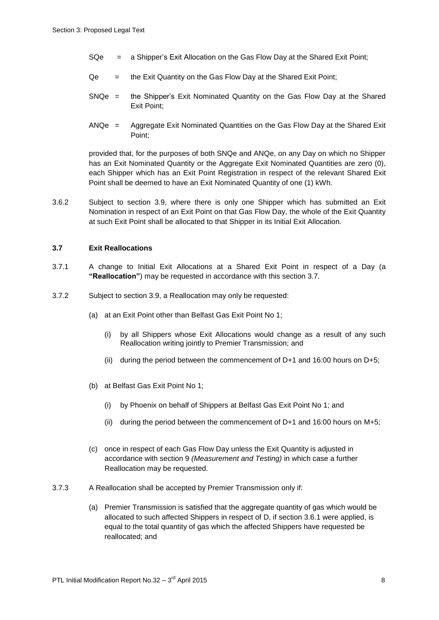- SQe = a Shipper's Exit Allocation on the Gas Flow Day at the Shared Exit Point;
- $Qe =$  the Exit Quantity on the Gas Flow Day at the Shared Exit Point;
- SNQe = the Shipper's Exit Nominated Quantity on the Gas Flow Day at the Shared Exit Point;
- ANQe = Aggregate Exit Nominated Quantities on the Gas Flow Day at the Shared Exit Point;

provided that, for the purposes of both SNQe and ANQe, on any Day on which no Shipper has an Exit Nominated Quantity or the Aggregate Exit Nominated Quantities are zero (0), each Shipper which has an Exit Point Registration in respect of the relevant Shared Exit Point shall be deemed to have an Exit Nominated Quantity of one (1) kWh.

3.6.2 Subject to section 3.9, where there is only one Shipper which has submitted an Exit Nomination in respect of an Exit Point on that Gas Flow Day, the whole of the Exit Quantity at such Exit Point shall be allocated to that Shipper in its Initial Exit Allocation.

#### **3.7 Exit Reallocations**

- 3.7.1 A change to Initial Exit Allocations at a Shared Exit Point in respect of a Day (a **"Reallocation"**) may be requested in accordance with this section 3.7.
- 3.7.2 Subject to section 3.9, a Reallocation may only be requested:
	- (a) at an Exit Point other than Belfast Gas Exit Point No 1;
		- (i) by all Shippers whose Exit Allocations would change as a result of any such Reallocation writing jointly to Premier Transmission; and
		- (ii) during the period between the commencement of D+1 and 16:00 hours on D+5;
	- (b) at Belfast Gas Exit Point No 1;
		- (i) by Phoenix on behalf of Shippers at Belfast Gas Exit Point No 1; and
		- (ii) during the period between the commencement of D+1 and 16:00 hours on M+5;
	- (c) once in respect of each Gas Flow Day unless the Exit Quantity is adjusted in accordance with section 9 *(Measurement and Testing)* in which case a further Reallocation may be requested.
- 3.7.3 A Reallocation shall be accepted by Premier Transmission only if:
	- (a) Premier Transmission is satisfied that the aggregate quantity of gas which would be allocated to such affected Shippers in respect of D, if section 3.6.1 were applied, is equal to the total quantity of gas which the affected Shippers have requested be reallocated; and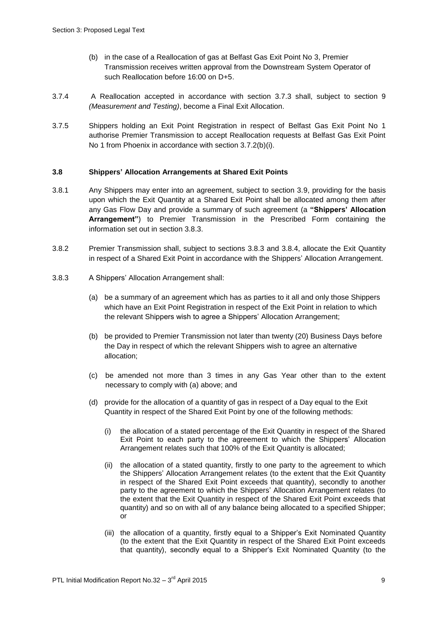- (b) in the case of a Reallocation of gas at Belfast Gas Exit Point No 3, Premier Transmission receives written approval from the Downstream System Operator of such Reallocation before 16:00 on D+5.
- 3.7.4 A Reallocation accepted in accordance with section 3.7.3 shall, subject to section 9 *(Measurement and Testing)*, become a Final Exit Allocation.
- 3.7.5 Shippers holding an Exit Point Registration in respect of Belfast Gas Exit Point No 1 authorise Premier Transmission to accept Reallocation requests at Belfast Gas Exit Point No 1 from Phoenix in accordance with section 3.7.2(b)(i).

## **3.8 Shippers' Allocation Arrangements at Shared Exit Points**

- 3.8.1 Any Shippers may enter into an agreement, subject to section 3.9, providing for the basis upon which the Exit Quantity at a Shared Exit Point shall be allocated among them after any Gas Flow Day and provide a summary of such agreement (a **"Shippers' Allocation Arrangement"**) to Premier Transmission in the Prescribed Form containing the information set out in section 3.8.3.
- 3.8.2 Premier Transmission shall, subject to sections 3.8.3 and 3.8.4, allocate the Exit Quantity in respect of a Shared Exit Point in accordance with the Shippers' Allocation Arrangement.
- 3.8.3 A Shippers' Allocation Arrangement shall:
	- (a) be a summary of an agreement which has as parties to it all and only those Shippers which have an Exit Point Registration in respect of the Exit Point in relation to which the relevant Shippers wish to agree a Shippers' Allocation Arrangement;
	- (b) be provided to Premier Transmission not later than twenty (20) Business Days before the Day in respect of which the relevant Shippers wish to agree an alternative allocation;
	- (c) be amended not more than 3 times in any Gas Year other than to the extent necessary to comply with (a) above; and
	- (d) provide for the allocation of a quantity of gas in respect of a Day equal to the Exit Quantity in respect of the Shared Exit Point by one of the following methods:
		- (i) the allocation of a stated percentage of the Exit Quantity in respect of the Shared Exit Point to each party to the agreement to which the Shippers' Allocation Arrangement relates such that 100% of the Exit Quantity is allocated;
		- (ii) the allocation of a stated quantity, firstly to one party to the agreement to which the Shippers' Allocation Arrangement relates (to the extent that the Exit Quantity in respect of the Shared Exit Point exceeds that quantity), secondly to another party to the agreement to which the Shippers' Allocation Arrangement relates (to the extent that the Exit Quantity in respect of the Shared Exit Point exceeds that quantity) and so on with all of any balance being allocated to a specified Shipper; or
		- (iii) the allocation of a quantity, firstly equal to a Shipper's Exit Nominated Quantity (to the extent that the Exit Quantity in respect of the Shared Exit Point exceeds that quantity), secondly equal to a Shipper's Exit Nominated Quantity (to the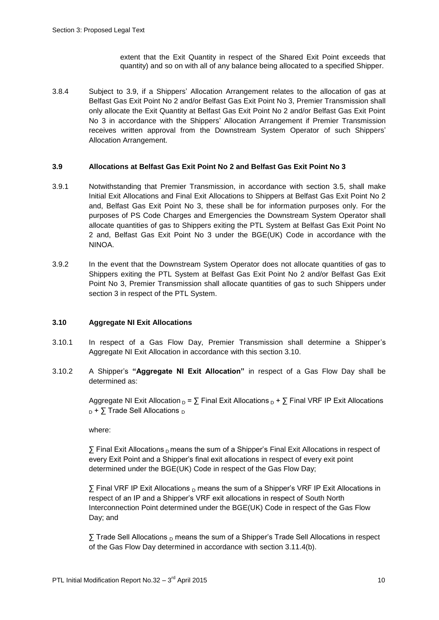extent that the Exit Quantity in respect of the Shared Exit Point exceeds that quantity) and so on with all of any balance being allocated to a specified Shipper.

3.8.4 Subject to 3.9, if a Shippers' Allocation Arrangement relates to the allocation of gas at Belfast Gas Exit Point No 2 and/or Belfast Gas Exit Point No 3, Premier Transmission shall only allocate the Exit Quantity at Belfast Gas Exit Point No 2 and/or Belfast Gas Exit Point No 3 in accordance with the Shippers' Allocation Arrangement if Premier Transmission receives written approval from the Downstream System Operator of such Shippers' Allocation Arrangement.

## **3.9 Allocations at Belfast Gas Exit Point No 2 and Belfast Gas Exit Point No 3**

- 3.9.1 Notwithstanding that Premier Transmission, in accordance with section 3.5, shall make Initial Exit Allocations and Final Exit Allocations to Shippers at Belfast Gas Exit Point No 2 and, Belfast Gas Exit Point No 3, these shall be for information purposes only. For the purposes of PS Code Charges and Emergencies the Downstream System Operator shall allocate quantities of gas to Shippers exiting the PTL System at Belfast Gas Exit Point No 2 and, Belfast Gas Exit Point No 3 under the BGE(UK) Code in accordance with the NINOA.
- 3.9.2 In the event that the Downstream System Operator does not allocate quantities of gas to Shippers exiting the PTL System at Belfast Gas Exit Point No 2 and/or Belfast Gas Exit Point No 3, Premier Transmission shall allocate quantities of gas to such Shippers under section 3 in respect of the PTL System.

## **3.10 Aggregate NI Exit Allocations**

- 3.10.1 In respect of a Gas Flow Day, Premier Transmission shall determine a Shipper's Aggregate NI Exit Allocation in accordance with this section 3.10.
- 3.10.2 A Shipper's **"Aggregate NI Exit Allocation"** in respect of a Gas Flow Day shall be determined as:

Aggregate NI Exit Allocation  $_D$  =  $\sum$  Final Exit Allocations  $_D$  +  $\sum$  Final VRF IP Exit Allocations  $_D$  +  $\Sigma$  Trade Sell Allocations  $_D$ 

where:

 $\Sigma$  Final Exit Allocations  $_D$  means the sum of a Shipper's Final Exit Allocations in respect of every Exit Point and a Shipper's final exit allocations in respect of every exit point determined under the BGE(UK) Code in respect of the Gas Flow Day;

 $\overline{y}$  Final VRF IP Exit Allocations <sub>D</sub> means the sum of a Shipper's VRF IP Exit Allocations in respect of an IP and a Shipper's VRF exit allocations in respect of South North Interconnection Point determined under the BGE(UK) Code in respect of the Gas Flow Day; and

 $\Sigma$  Trade Sell Allocations  $_D$  means the sum of a Shipper's Trade Sell Allocations in respect of the Gas Flow Day determined in accordance with section 3.11.4(b).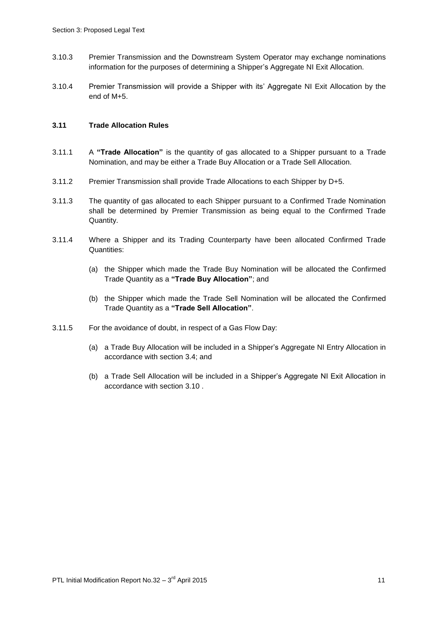- 3.10.3 Premier Transmission and the Downstream System Operator may exchange nominations information for the purposes of determining a Shipper's Aggregate NI Exit Allocation.
- 3.10.4 Premier Transmission will provide a Shipper with its' Aggregate NI Exit Allocation by the end of M+5.

# **3.11 Trade Allocation Rules**

- 3.11.1 A **"Trade Allocation"** is the quantity of gas allocated to a Shipper pursuant to a Trade Nomination, and may be either a Trade Buy Allocation or a Trade Sell Allocation.
- 3.11.2 Premier Transmission shall provide Trade Allocations to each Shipper by D+5.
- 3.11.3 The quantity of gas allocated to each Shipper pursuant to a Confirmed Trade Nomination shall be determined by Premier Transmission as being equal to the Confirmed Trade Quantity.
- 3.11.4 Where a Shipper and its Trading Counterparty have been allocated Confirmed Trade Quantities:
	- (a) the Shipper which made the Trade Buy Nomination will be allocated the Confirmed Trade Quantity as a **"Trade Buy Allocation"**; and
	- (b) the Shipper which made the Trade Sell Nomination will be allocated the Confirmed Trade Quantity as a **"Trade Sell Allocation"**.
- 3.11.5 For the avoidance of doubt, in respect of a Gas Flow Day:
	- (a) a Trade Buy Allocation will be included in a Shipper's Aggregate NI Entry Allocation in accordance with section 3.4; and
	- (b) a Trade Sell Allocation will be included in a Shipper's Aggregate NI Exit Allocation in accordance with section 3.10 .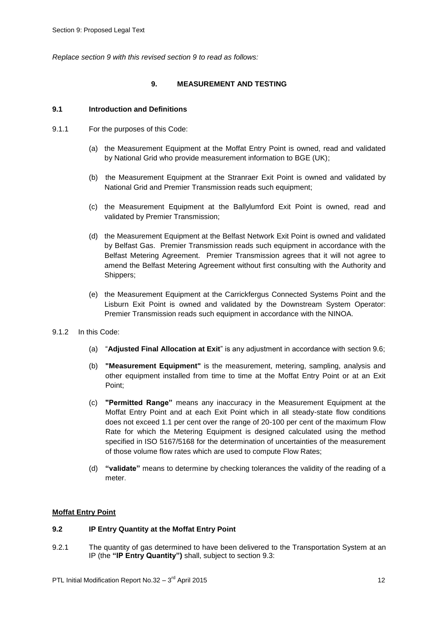*Replace section 9 with this revised section 9 to read as follows:*

## **9. MEASUREMENT AND TESTING**

## **9.1 Introduction and Definitions**

- 9.1.1 For the purposes of this Code:
	- (a) the Measurement Equipment at the Moffat Entry Point is owned, read and validated by National Grid who provide measurement information to BGE (UK);
	- (b) the Measurement Equipment at the Stranraer Exit Point is owned and validated by National Grid and Premier Transmission reads such equipment;
	- (c) the Measurement Equipment at the Ballylumford Exit Point is owned, read and validated by Premier Transmission;
	- (d) the Measurement Equipment at the Belfast Network Exit Point is owned and validated by Belfast Gas. Premier Transmission reads such equipment in accordance with the Belfast Metering Agreement. Premier Transmission agrees that it will not agree to amend the Belfast Metering Agreement without first consulting with the Authority and Shippers;
	- (e) the Measurement Equipment at the Carrickfergus Connected Systems Point and the Lisburn Exit Point is owned and validated by the Downstream System Operator: Premier Transmission reads such equipment in accordance with the NINOA.
- 9.1.2 In this Code:
	- (a) "**Adjusted Final Allocation at Exit**" is any adjustment in accordance with section 9.6;
	- (b) **"Measurement Equipment"** is the measurement, metering, sampling, analysis and other equipment installed from time to time at the Moffat Entry Point or at an Exit Point;
	- (c) **"Permitted Range"** means any inaccuracy in the Measurement Equipment at the Moffat Entry Point and at each Exit Point which in all steady-state flow conditions does not exceed 1.1 per cent over the range of 20-100 per cent of the maximum Flow Rate for which the Metering Equipment is designed calculated using the method specified in ISO 5167/5168 for the determination of uncertainties of the measurement of those volume flow rates which are used to compute Flow Rates;
	- (d) **"validate"** means to determine by checking tolerances the validity of the reading of a meter.

## **Moffat Entry Point**

#### **9.2 IP Entry Quantity at the Moffat Entry Point**

9.2.1 The quantity of gas determined to have been delivered to the Transportation System at an IP (the **"IP Entry Quantity")** shall, subject to section 9.3: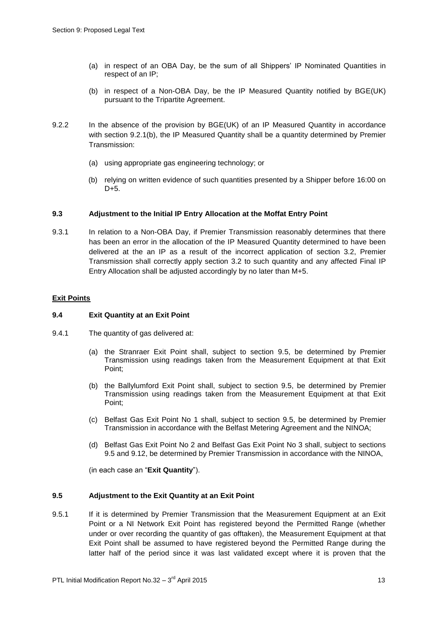- (a) in respect of an OBA Day, be the sum of all Shippers' IP Nominated Quantities in respect of an IP;
- (b) in respect of a Non-OBA Day, be the IP Measured Quantity notified by BGE(UK) pursuant to the Tripartite Agreement.
- 9.2.2 In the absence of the provision by BGE(UK) of an IP Measured Quantity in accordance with section 9.2.1(b), the IP Measured Quantity shall be a quantity determined by Premier Transmission:
	- (a) using appropriate gas engineering technology; or
	- (b) relying on written evidence of such quantities presented by a Shipper before 16:00 on D+5.

## **9.3 Adjustment to the Initial IP Entry Allocation at the Moffat Entry Point**

9.3.1 In relation to a Non-OBA Day, if Premier Transmission reasonably determines that there has been an error in the allocation of the IP Measured Quantity determined to have been delivered at the an IP as a result of the incorrect application of section 3.2, Premier Transmission shall correctly apply section 3.2 to such quantity and any affected Final IP Entry Allocation shall be adjusted accordingly by no later than M+5.

## **Exit Points**

#### **9.4 Exit Quantity at an Exit Point**

- 9.4.1 The quantity of gas delivered at:
	- (a) the Stranraer Exit Point shall, subject to section 9.5, be determined by Premier Transmission using readings taken from the Measurement Equipment at that Exit Point;
	- (b) the Ballylumford Exit Point shall, subject to section 9.5, be determined by Premier Transmission using readings taken from the Measurement Equipment at that Exit Point;
	- (c) Belfast Gas Exit Point No 1 shall, subject to section 9.5, be determined by Premier Transmission in accordance with the Belfast Metering Agreement and the NINOA;
	- (d) Belfast Gas Exit Point No 2 and Belfast Gas Exit Point No 3 shall, subject to sections 9.5 and 9.12, be determined by Premier Transmission in accordance with the NINOA,

(in each case an "**Exit Quantity**").

#### **9.5 Adjustment to the Exit Quantity at an Exit Point**

9.5.1 If it is determined by Premier Transmission that the Measurement Equipment at an Exit Point or a NI Network Exit Point has registered beyond the Permitted Range (whether under or over recording the quantity of gas offtaken), the Measurement Equipment at that Exit Point shall be assumed to have registered beyond the Permitted Range during the latter half of the period since it was last validated except where it is proven that the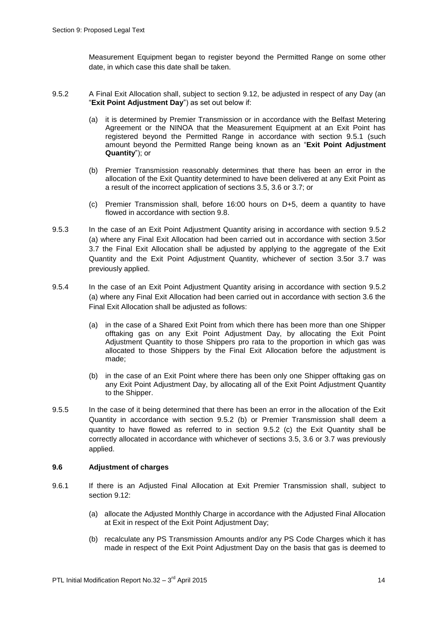Measurement Equipment began to register beyond the Permitted Range on some other date, in which case this date shall be taken.

- 9.5.2 A Final Exit Allocation shall, subject to section 9.12, be adjusted in respect of any Day (an "**Exit Point Adjustment Day**") as set out below if:
	- (a) it is determined by Premier Transmission or in accordance with the Belfast Metering Agreement or the NINOA that the Measurement Equipment at an Exit Point has registered beyond the Permitted Range in accordance with section 9.5.1 (such amount beyond the Permitted Range being known as an "**Exit Point Adjustment Quantity**"); or
	- (b) Premier Transmission reasonably determines that there has been an error in the allocation of the Exit Quantity determined to have been delivered at any Exit Point as a result of the incorrect application of sections 3.5, 3.6 or 3.7; or
	- (c) Premier Transmission shall, before 16:00 hours on D+5, deem a quantity to have flowed in accordance with section 9.8.
- 9.5.3 In the case of an Exit Point Adjustment Quantity arising in accordance with section 9.5.2 (a) where any Final Exit Allocation had been carried out in accordance with section 3.5or 3.7 the Final Exit Allocation shall be adjusted by applying to the aggregate of the Exit Quantity and the Exit Point Adjustment Quantity, whichever of section 3.5or 3.7 was previously applied.
- 9.5.4 In the case of an Exit Point Adjustment Quantity arising in accordance with section 9.5.2 (a) where any Final Exit Allocation had been carried out in accordance with section 3.6 the Final Exit Allocation shall be adjusted as follows:
	- (a) in the case of a Shared Exit Point from which there has been more than one Shipper offtaking gas on any Exit Point Adjustment Day, by allocating the Exit Point Adjustment Quantity to those Shippers pro rata to the proportion in which gas was allocated to those Shippers by the Final Exit Allocation before the adjustment is made;
	- (b) in the case of an Exit Point where there has been only one Shipper offtaking gas on any Exit Point Adjustment Day, by allocating all of the Exit Point Adjustment Quantity to the Shipper.
- 9.5.5 In the case of it being determined that there has been an error in the allocation of the Exit Quantity in accordance with section 9.5.2 (b) or Premier Transmission shall deem a quantity to have flowed as referred to in section 9.5.2 (c) the Exit Quantity shall be correctly allocated in accordance with whichever of sections 3.5, 3.6 or 3.7 was previously applied.

#### **9.6 Adjustment of charges**

- 9.6.1 If there is an Adjusted Final Allocation at Exit Premier Transmission shall, subject to section 9.12:
	- (a) allocate the Adjusted Monthly Charge in accordance with the Adjusted Final Allocation at Exit in respect of the Exit Point Adjustment Day;
	- (b) recalculate any PS Transmission Amounts and/or any PS Code Charges which it has made in respect of the Exit Point Adjustment Day on the basis that gas is deemed to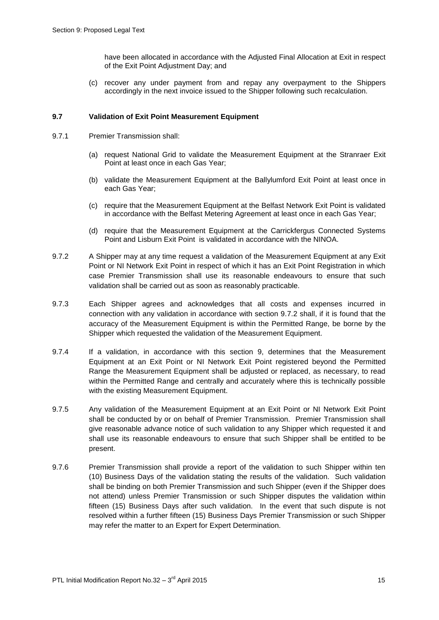have been allocated in accordance with the Adjusted Final Allocation at Exit in respect of the Exit Point Adjustment Day; and

(c) recover any under payment from and repay any overpayment to the Shippers accordingly in the next invoice issued to the Shipper following such recalculation.

## **9.7 Validation of Exit Point Measurement Equipment**

- 9.7.1 Premier Transmission shall:
	- (a) request National Grid to validate the Measurement Equipment at the Stranraer Exit Point at least once in each Gas Year;
	- (b) validate the Measurement Equipment at the Ballylumford Exit Point at least once in each Gas Year;
	- (c) require that the Measurement Equipment at the Belfast Network Exit Point is validated in accordance with the Belfast Metering Agreement at least once in each Gas Year;
	- (d) require that the Measurement Equipment at the Carrickfergus Connected Systems Point and Lisburn Exit Point is validated in accordance with the NINOA.
- 9.7.2 A Shipper may at any time request a validation of the Measurement Equipment at any Exit Point or NI Network Exit Point in respect of which it has an Exit Point Registration in which case Premier Transmission shall use its reasonable endeavours to ensure that such validation shall be carried out as soon as reasonably practicable.
- 9.7.3 Each Shipper agrees and acknowledges that all costs and expenses incurred in connection with any validation in accordance with section 9.7.2 shall, if it is found that the accuracy of the Measurement Equipment is within the Permitted Range, be borne by the Shipper which requested the validation of the Measurement Equipment.
- 9.7.4 If a validation, in accordance with this section 9, determines that the Measurement Equipment at an Exit Point or NI Network Exit Point registered beyond the Permitted Range the Measurement Equipment shall be adjusted or replaced, as necessary, to read within the Permitted Range and centrally and accurately where this is technically possible with the existing Measurement Equipment.
- 9.7.5 Any validation of the Measurement Equipment at an Exit Point or NI Network Exit Point shall be conducted by or on behalf of Premier Transmission. Premier Transmission shall give reasonable advance notice of such validation to any Shipper which requested it and shall use its reasonable endeavours to ensure that such Shipper shall be entitled to be present.
- 9.7.6 Premier Transmission shall provide a report of the validation to such Shipper within ten (10) Business Days of the validation stating the results of the validation. Such validation shall be binding on both Premier Transmission and such Shipper (even if the Shipper does not attend) unless Premier Transmission or such Shipper disputes the validation within fifteen (15) Business Days after such validation. In the event that such dispute is not resolved within a further fifteen (15) Business Days Premier Transmission or such Shipper may refer the matter to an Expert for Expert Determination.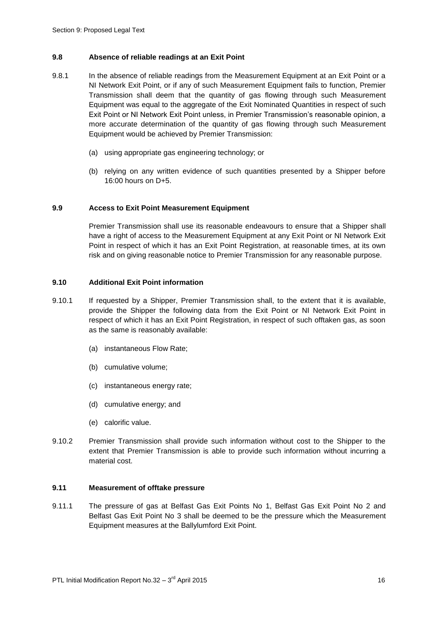## **9.8 Absence of reliable readings at an Exit Point**

- 9.8.1 In the absence of reliable readings from the Measurement Equipment at an Exit Point or a NI Network Exit Point, or if any of such Measurement Equipment fails to function, Premier Transmission shall deem that the quantity of gas flowing through such Measurement Equipment was equal to the aggregate of the Exit Nominated Quantities in respect of such Exit Point or NI Network Exit Point unless, in Premier Transmission's reasonable opinion, a more accurate determination of the quantity of gas flowing through such Measurement Equipment would be achieved by Premier Transmission:
	- (a) using appropriate gas engineering technology; or
	- (b) relying on any written evidence of such quantities presented by a Shipper before 16:00 hours on D+5.

## **9.9 Access to Exit Point Measurement Equipment**

Premier Transmission shall use its reasonable endeavours to ensure that a Shipper shall have a right of access to the Measurement Equipment at any Exit Point or NI Network Exit Point in respect of which it has an Exit Point Registration, at reasonable times, at its own risk and on giving reasonable notice to Premier Transmission for any reasonable purpose.

## **9.10 Additional Exit Point information**

- 9.10.1 If requested by a Shipper, Premier Transmission shall, to the extent that it is available, provide the Shipper the following data from the Exit Point or NI Network Exit Point in respect of which it has an Exit Point Registration, in respect of such offtaken gas, as soon as the same is reasonably available:
	- (a) instantaneous Flow Rate;
	- (b) cumulative volume;
	- (c) instantaneous energy rate;
	- (d) cumulative energy; and
	- (e) calorific value.
- 9.10.2 Premier Transmission shall provide such information without cost to the Shipper to the extent that Premier Transmission is able to provide such information without incurring a material cost.

#### **9.11 Measurement of offtake pressure**

9.11.1 The pressure of gas at Belfast Gas Exit Points No 1, Belfast Gas Exit Point No 2 and Belfast Gas Exit Point No 3 shall be deemed to be the pressure which the Measurement Equipment measures at the Ballylumford Exit Point.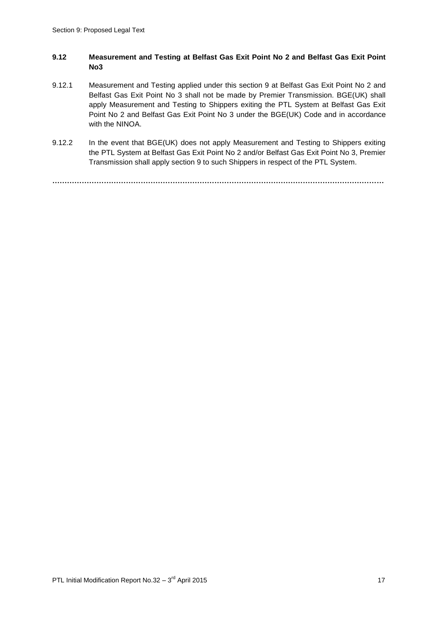## **9.12 Measurement and Testing at Belfast Gas Exit Point No 2 and Belfast Gas Exit Point No3**

- 9.12.1 Measurement and Testing applied under this section 9 at Belfast Gas Exit Point No 2 and Belfast Gas Exit Point No 3 shall not be made by Premier Transmission. BGE(UK) shall apply Measurement and Testing to Shippers exiting the PTL System at Belfast Gas Exit Point No 2 and Belfast Gas Exit Point No 3 under the BGE(UK) Code and in accordance with the NINOA.
- 9.12.2 In the event that BGE(UK) does not apply Measurement and Testing to Shippers exiting the PTL System at Belfast Gas Exit Point No 2 and/or Belfast Gas Exit Point No 3, Premier Transmission shall apply section 9 to such Shippers in respect of the PTL System.

**………………………………………………………………………………………………………………………**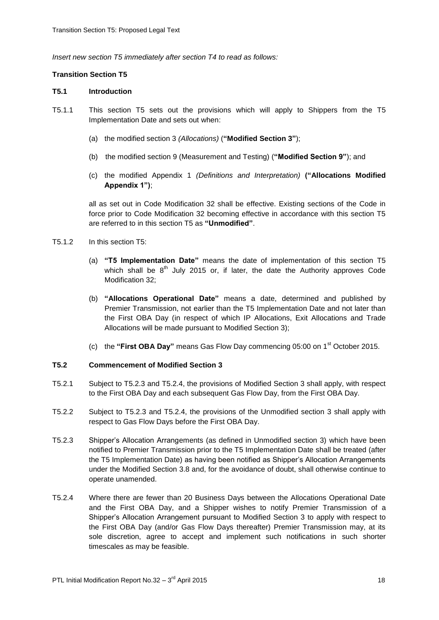*Insert new section T5 immediately after section T4 to read as follows:*

## **Transition Section T5**

#### **T5.1 Introduction**

- T5.1.1 This section T5 sets out the provisions which will apply to Shippers from the T5 Implementation Date and sets out when:
	- (a) the modified section 3 *(Allocations)* (**"Modified Section 3"**);
	- (b) the modified section 9 (Measurement and Testing) (**"Modified Section 9"**); and
	- (c) the modified Appendix 1 *(Definitions and Interpretation)* **("Allocations Modified Appendix 1")**;

all as set out in Code Modification 32 shall be effective. Existing sections of the Code in force prior to Code Modification 32 becoming effective in accordance with this section T5 are referred to in this section T5 as **"Unmodified"**.

- T5.1.2 In this section T5:
	- (a) **"T5 Implementation Date"** means the date of implementation of this section T5 which shall be  $8^{th}$  July 2015 or, if later, the date the Authority approves Code Modification 32;
	- (b) **"Allocations Operational Date"** means a date, determined and published by Premier Transmission, not earlier than the T5 Implementation Date and not later than the First OBA Day (in respect of which IP Allocations, Exit Allocations and Trade Allocations will be made pursuant to Modified Section 3);
	- (c) the **"First OBA Day"** means Gas Flow Day commencing 05:00 on 1st October 2015.

#### **T5.2 Commencement of Modified Section 3**

- T5.2.1 Subject to T5.2.3 and T5.2.4, the provisions of Modified Section 3 shall apply, with respect to the First OBA Day and each subsequent Gas Flow Day, from the First OBA Day.
- T5.2.2 Subject to T5.2.3 and T5.2.4, the provisions of the Unmodified section 3 shall apply with respect to Gas Flow Days before the First OBA Day.
- T5.2.3 Shipper's Allocation Arrangements (as defined in Unmodified section 3) which have been notified to Premier Transmission prior to the T5 Implementation Date shall be treated (after the T5 Implementation Date) as having been notified as Shipper's Allocation Arrangements under the Modified Section 3.8 and, for the avoidance of doubt, shall otherwise continue to operate unamended.
- T5.2.4 Where there are fewer than 20 Business Days between the Allocations Operational Date and the First OBA Day, and a Shipper wishes to notify Premier Transmission of a Shipper's Allocation Arrangement pursuant to Modified Section 3 to apply with respect to the First OBA Day (and/or Gas Flow Days thereafter) Premier Transmission may, at its sole discretion, agree to accept and implement such notifications in such shorter timescales as may be feasible.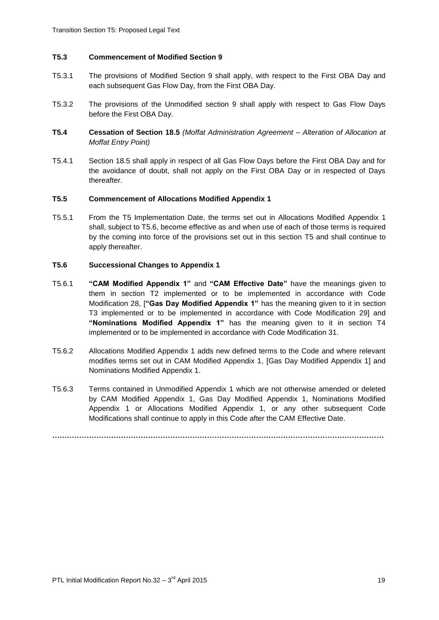## **T5.3 Commencement of Modified Section 9**

- T5.3.1 The provisions of Modified Section 9 shall apply, with respect to the First OBA Day and each subsequent Gas Flow Day, from the First OBA Day.
- T5.3.2 The provisions of the Unmodified section 9 shall apply with respect to Gas Flow Days before the First OBA Day.
- **T5.4 Cessation of Section 18.5** *(Moffat Administration Agreement – Alteration of Allocation at Moffat Entry Point)*
- T5.4.1 Section 18.5 shall apply in respect of all Gas Flow Days before the First OBA Day and for the avoidance of doubt, shall not apply on the First OBA Day or in respected of Days thereafter.

## **T5.5 Commencement of Allocations Modified Appendix 1**

T5.5.1 From the T5 Implementation Date, the terms set out in Allocations Modified Appendix 1 shall, subject to T5.6, become effective as and when use of each of those terms is required by the coming into force of the provisions set out in this section T5 and shall continue to apply thereafter.

# **T5.6 Successional Changes to Appendix 1**

- T5.6.1 **"CAM Modified Appendix 1"** and **"CAM Effective Date"** have the meanings given to them in section T2 implemented or to be implemented in accordance with Code Modification 28, [**"Gas Day Modified Appendix 1"** has the meaning given to it in section T3 implemented or to be implemented in accordance with Code Modification 29] and **"Nominations Modified Appendix 1"** has the meaning given to it in section T4 implemented or to be implemented in accordance with Code Modification 31.
- T5.6.2 Allocations Modified Appendix 1 adds new defined terms to the Code and where relevant modifies terms set out in CAM Modified Appendix 1, [Gas Day Modified Appendix 1] and Nominations Modified Appendix 1.
- T5.6.3 Terms contained in Unmodified Appendix 1 which are not otherwise amended or deleted by CAM Modified Appendix 1, Gas Day Modified Appendix 1, Nominations Modified Appendix 1 or Allocations Modified Appendix 1, or any other subsequent Code Modifications shall continue to apply in this Code after the CAM Effective Date.

**………………………………………………………………………………………………………………………**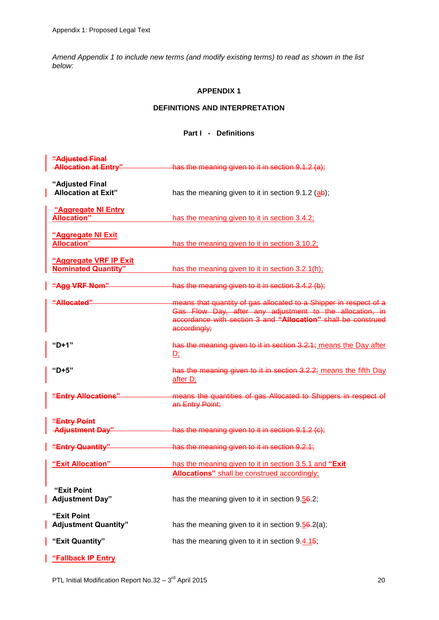*Amend Appendix 1 to include new terms (and modify existing terms) to read as shown in the list below:*

# **APPENDIX 1**

# **DEFINITIONS AND INTERPRETATION**

# **Part I - Definitions**

| "Adjusted Final                                      |                                                                                                                                                                                                                |
|------------------------------------------------------|----------------------------------------------------------------------------------------------------------------------------------------------------------------------------------------------------------------|
| <b>Allocation at Entry"</b>                          | has the meaning given to it in section 9.1.2 (a);                                                                                                                                                              |
| "Adjusted Final<br><b>Allocation at Exit"</b>        | has the meaning given to it in section $9.1.2$ (ab);                                                                                                                                                           |
| "Aggregate NI Entry<br><b>Allocation"</b>            | has the meaning given to it in section 3.4.2;                                                                                                                                                                  |
| "Aggregate NI Exit<br><b>Allocation</b> "            | has the meaning given to it in section 3.10.2;                                                                                                                                                                 |
| "Aggregate VRF IP Exit<br><b>Nominated Quantity"</b> | has the meaning given to it in section 3.2.1(h);                                                                                                                                                               |
| "Agg VRF Nom"                                        | has the meaning given to it in section 3.4.2 (b);                                                                                                                                                              |
| <u> "Allocated"</u>                                  | means that quantity of gas allocated to a Shipper in respect of a<br>Gas Flow Day, after any adjustment to the allocation, in<br>accordance with section 3 and "Allocation" shall be construed<br>accordingly; |
| "D+1"                                                | has the meaning given to it in section 3.2.1; means the Day after<br>$D$ :                                                                                                                                     |
| "D+5"                                                | has the meaning given to it in section 3.2.2; means the fifth Day<br>after D;                                                                                                                                  |
| "Entry Allocations"                                  | means the quantities of gas Allocated to Shippers in respect of<br>an Entry Point;                                                                                                                             |
| "Entry Point<br><b>Adjustment Day"</b>               | has the meaning given to it in section 9.1.2 (c);                                                                                                                                                              |
| "Entry Quantity"                                     | has the meaning given to it in section 9.2.1;                                                                                                                                                                  |
| "Exit Allocation"                                    | has the meaning given to it in section 3.5.1 and "Exit<br><b>Allocations"</b> shall be construed accordingly;                                                                                                  |
| "Exit Point<br><b>Adjustment Day"</b>                | has the meaning given to it in section $9.56.2$ ;                                                                                                                                                              |
| "Exit Point<br><b>Adjustment Quantity"</b>           | has the meaning given to it in section $9.56.2(a)$ ;                                                                                                                                                           |
| "Exit Quantity"                                      | has the meaning given to it in section 9.4.15;                                                                                                                                                                 |
|                                                      |                                                                                                                                                                                                                |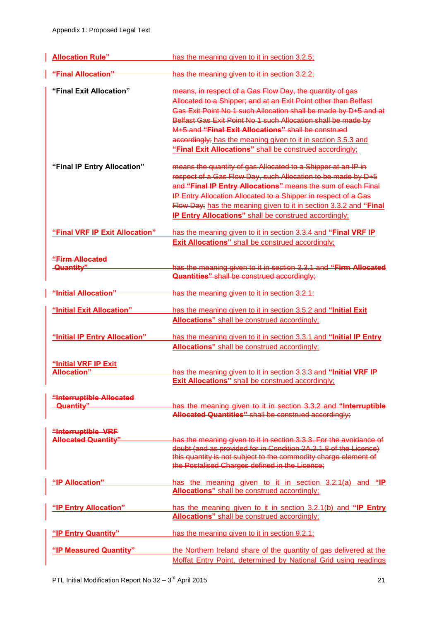| <b>Allocation Rule"</b>        | has the meaning given to it in section 3.2.5;                      |
|--------------------------------|--------------------------------------------------------------------|
| "Final Allocation"             | has the meaning given to it in section 3.2.2;                      |
| "Final Exit Allocation"        | means, in respect of a Gas Flow Day, the quantity of gas           |
|                                | Allocated to a Shipper; and at an Exit Point other than Belfast    |
|                                | Gas Exit Point No 1 such Allocation shall be made by D+5 and at    |
|                                | Belfast Gas Exit Point No 1 such Allocation shall be made by       |
|                                | M+5 and "Final Exit Allocations" shall be construed                |
|                                | accordingly; has the meaning given to it in section 3.5.3 and      |
|                                | "Final Exit Allocations" shall be construed accordingly;           |
| "Final IP Entry Allocation"    | means the quantity of gas Allocated to a Shipper at an IP in       |
|                                | respect of a Gas Flow Day, such Allocation to be made by D+5       |
|                                | and "Final IP Entry Allocations" means the sum of each Final       |
|                                | IP Entry Allocation Allocated to a Shipper in respect of a Gas     |
|                                | Flow Day; has the meaning given to it in section 3.3.2 and "Final  |
|                                | <b>IP Entry Allocations"</b> shall be construed accordingly;       |
| "Final VRF IP Exit Allocation" | has the meaning given to it in section 3.3.4 and "Final VRF IP     |
|                                | <b>Exit Allocations"</b> shall be construed accordingly;           |
|                                |                                                                    |
| "Firm Allocated                |                                                                    |
| -Quantity"                     | has the meaning given to it in section 3.3.1 and "Firm Allocated   |
|                                | <b>Quantities"</b> shall be construed accordingly;                 |
| "Initial Allocation"           | has the meaning given to it in section 3.2.1;                      |
| "Initial Exit Allocation"      | has the meaning given to it in section 3.5.2 and "Initial Exit"    |
|                                | <b>Allocations"</b> shall be construed accordingly;                |
|                                |                                                                    |
| "Initial IP Entry Allocation"  | has the meaning given to it in section 3.3.1 and "Initial IP Entry |
|                                | Allocations" shall be construed accordingly;                       |
| "Initial VRF IP Exit           |                                                                    |
| <b>Allocation"</b>             | has the meaning given to it in section 3.3.3 and "Initial VRF IP   |
|                                | <b>Exit Allocations"</b> shall be construed accordingly;           |
| "Interruptible Allocated       |                                                                    |
| <b>Quantity"</b>               | has the meaning given to it in section 3.3.2 and "Interruptible    |
|                                | Allocated Quantities" shall be construed accordingly;              |
| "Interruptible VRF             |                                                                    |
| <b>Allocated Quantity"</b>     | has the meaning given to it in section 3.3.3. For the avoidance of |
|                                | doubt (and as provided for in Condition 2A.2.1.8 of the Licence)   |
|                                | this quantity is not subject to the commodity charge element of    |
|                                | the Postalised Charges defined in the Licence;                     |
| "IP Allocation"                | has the meaning given to it in section 3.2.1(a) and "IP            |
|                                | <b>Allocations"</b> shall be construed accordingly;                |
| "IP Entry Allocation"          | has the meaning given to it in section 3.2.1(b) and "IP Entry      |
|                                | Allocations" shall be construed accordingly;                       |
|                                |                                                                    |
| "IP Entry Quantity"            | has the meaning given to it in section 9.2.1;                      |
| "IP Measured Quantity"         | the Northern Ireland share of the quantity of gas delivered at the |
|                                | Moffat Entry Point, determined by National Grid using readings     |